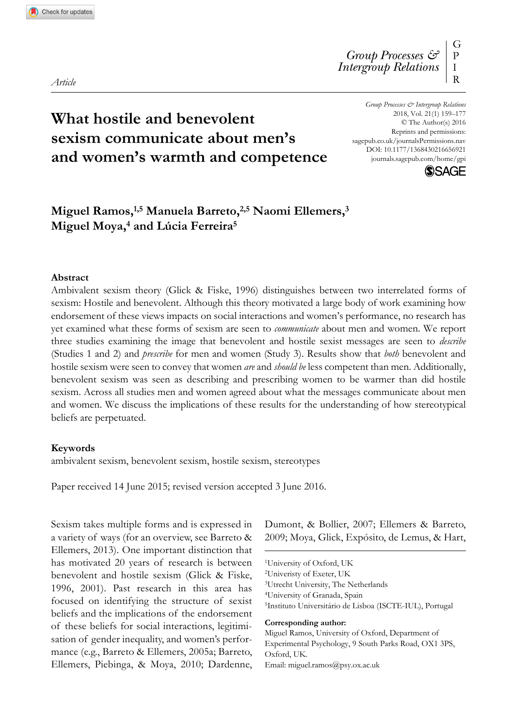*Article*

# **What hostile and benevolent sexism communicate about men's and women's warmth and competence**

DOI: 10.1177/1368430216656921 *Group Processes & Intergroup Relations* 2018, Vol. 21(1) 159–177 © The Author(s) 2016 Reprints and permissions: [sagepub.co.uk/journalsPermissions.nav](https://uk.sagepub.com/en-gb/journals-permissions) [journals.sagepub.com/home/gpi](https://journals.sagepub.com/home/gpi)



## **Miguel Ramos,1,5 Manuela Barreto,2,5 Naomi Ellemers,3 Miguel Moya,4 and Lúcia Ferreira5**

#### **Abstract**

Ambivalent sexism theory (Glick & Fiske, 1996) distinguishes between two interrelated forms of sexism: Hostile and benevolent. Although this theory motivated a large body of work examining how endorsement of these views impacts on social interactions and women's performance, no research has yet examined what these forms of sexism are seen to *communicate* about men and women. We report three studies examining the image that benevolent and hostile sexist messages are seen to *describe* (Studies 1 and 2) and *prescribe* for men and women (Study 3). Results show that *both* benevolent and hostile sexism were seen to convey that women *are* and *should be* less competent than men. Additionally, benevolent sexism was seen as describing and prescribing women to be warmer than did hostile sexism. Across all studies men and women agreed about what the messages communicate about men and women. We discuss the implications of these results for the understanding of how stereotypical beliefs are perpetuated.

#### **Keywords**

ambivalent sexism, benevolent sexism, hostile sexism, stereotypes

Paper received 14 June 2015; revised version accepted 3 June 2016.

Sexism takes multiple forms and is expressed in a variety of ways (for an overview, see Barreto & Ellemers, 2013). One important distinction that has motivated 20 years of research is between benevolent and hostile sexism (Glick & Fiske, 1996, 2001). Past research in this area has focused on identifying the structure of sexist beliefs and the implications of the endorsement of these beliefs for social interactions, legitimisation of gender inequality, and women's performance (e.g., Barreto & Ellemers, 2005a; Barreto, Ellemers, Piebinga, & Moya, 2010; Dardenne,

Dumont, & Bollier, 2007; Ellemers & Barreto, 2009; Moya, Glick, Expósito, de Lemus, & Hart,

1University of Oxford, UK 2Univeristy of Exeter, UK 3Utrecht University, The Netherlands 4University of Granada, Spain 5Instituto Universitário de Lisboa (ISCTE-IUL), Portugal **Corresponding author:** Miguel Ramos, University of Oxford, Department of

Experimental Psychology, 9 South Parks Road, OX1 3PS, Oxford, UK. Email: miguel.ramos@psy.ox.ac.uk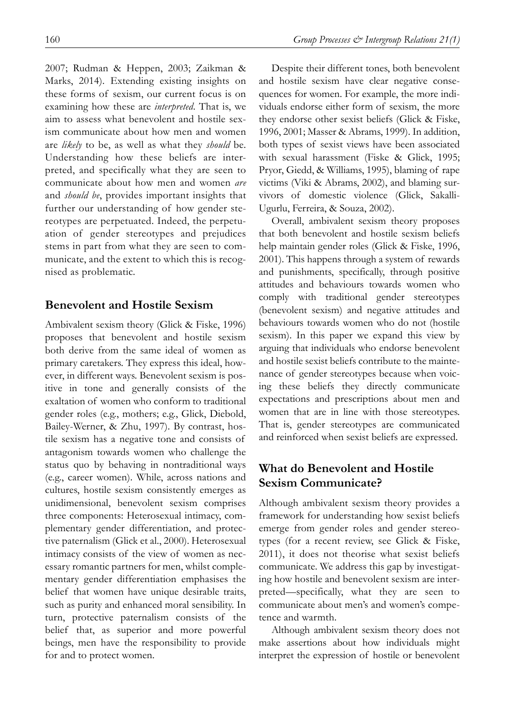2007; Rudman & Heppen, 2003; Zaikman & Marks, 2014). Extending existing insights on these forms of sexism, our current focus is on examining how these are *interpreted*. That is, we aim to assess what benevolent and hostile sexism communicate about how men and women are *likely* to be, as well as what they *should* be. Understanding how these beliefs are interpreted, and specifically what they are seen to communicate about how men and women *are* and *should be*, provides important insights that further our understanding of how gender stereotypes are perpetuated. Indeed, the perpetuation of gender stereotypes and prejudices stems in part from what they are seen to communicate, and the extent to which this is recognised as problematic.

#### **Benevolent and Hostile Sexism**

Ambivalent sexism theory (Glick & Fiske, 1996) proposes that benevolent and hostile sexism both derive from the same ideal of women as primary caretakers. They express this ideal, however, in different ways. Benevolent sexism is positive in tone and generally consists of the exaltation of women who conform to traditional gender roles (e.g., mothers; e.g., Glick, Diebold, Bailey-Werner, & Zhu, 1997). By contrast, hostile sexism has a negative tone and consists of antagonism towards women who challenge the status quo by behaving in nontraditional ways (e.g., career women). While, across nations and cultures, hostile sexism consistently emerges as unidimensional, benevolent sexism comprises three components: Heterosexual intimacy, complementary gender differentiation, and protective paternalism (Glick et al., 2000). Heterosexual intimacy consists of the view of women as necessary romantic partners for men, whilst complementary gender differentiation emphasises the belief that women have unique desirable traits, such as purity and enhanced moral sensibility. In turn, protective paternalism consists of the belief that, as superior and more powerful beings, men have the responsibility to provide for and to protect women.

Despite their different tones, both benevolent and hostile sexism have clear negative consequences for women. For example, the more individuals endorse either form of sexism, the more they endorse other sexist beliefs (Glick & Fiske, 1996, 2001; Masser & Abrams, 1999). In addition, both types of sexist views have been associated with sexual harassment (Fiske & Glick, 1995; Pryor, Giedd, & Williams, 1995), blaming of rape victims (Viki & Abrams, 2002), and blaming survivors of domestic violence (Glick, Sakalli-Ugurlu, Ferreira, & Souza, 2002).

Overall, ambivalent sexism theory proposes that both benevolent and hostile sexism beliefs help maintain gender roles (Glick & Fiske, 1996, 2001). This happens through a system of rewards and punishments, specifically, through positive attitudes and behaviours towards women who comply with traditional gender stereotypes (benevolent sexism) and negative attitudes and behaviours towards women who do not (hostile sexism). In this paper we expand this view by arguing that individuals who endorse benevolent and hostile sexist beliefs contribute to the maintenance of gender stereotypes because when voicing these beliefs they directly communicate expectations and prescriptions about men and women that are in line with those stereotypes. That is, gender stereotypes are communicated and reinforced when sexist beliefs are expressed.

## **What do Benevolent and Hostile Sexism Communicate?**

Although ambivalent sexism theory provides a framework for understanding how sexist beliefs emerge from gender roles and gender stereotypes (for a recent review, see Glick & Fiske, 2011), it does not theorise what sexist beliefs communicate. We address this gap by investigating how hostile and benevolent sexism are interpreted—specifically, what they are seen to communicate about men's and women's competence and warmth.

Although ambivalent sexism theory does not make assertions about how individuals might interpret the expression of hostile or benevolent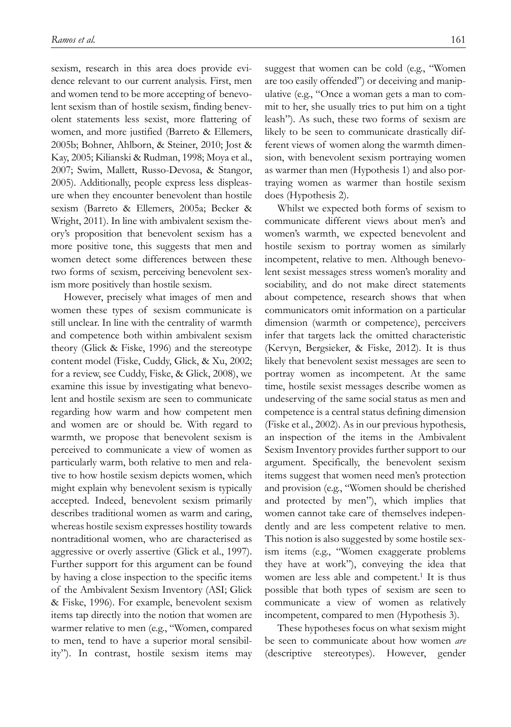sexism, research in this area does provide evidence relevant to our current analysis. First, men and women tend to be more accepting of benevolent sexism than of hostile sexism, finding benevolent statements less sexist, more flattering of women, and more justified (Barreto & Ellemers, 2005b; Bohner, Ahlborn, & Steiner, 2010; Jost & Kay, 2005; Kilianski & Rudman, 1998; Moya et al., 2007; Swim, Mallett, Russo-Devosa, & Stangor, 2005). Additionally, people express less displeasure when they encounter benevolent than hostile sexism (Barreto & Ellemers, 2005a; Becker & Wright, 2011). In line with ambivalent sexism theory's proposition that benevolent sexism has a more positive tone, this suggests that men and women detect some differences between these two forms of sexism, perceiving benevolent sexism more positively than hostile sexism.

However, precisely what images of men and women these types of sexism communicate is still unclear. In line with the centrality of warmth and competence both within ambivalent sexism theory (Glick & Fiske, 1996) and the stereotype content model (Fiske, Cuddy, Glick, & Xu, 2002; for a review, see Cuddy, Fiske, & Glick, 2008), we examine this issue by investigating what benevolent and hostile sexism are seen to communicate regarding how warm and how competent men and women are or should be. With regard to warmth, we propose that benevolent sexism is perceived to communicate a view of women as particularly warm, both relative to men and relative to how hostile sexism depicts women, which might explain why benevolent sexism is typically accepted. Indeed, benevolent sexism primarily describes traditional women as warm and caring, whereas hostile sexism expresses hostility towards nontraditional women, who are characterised as aggressive or overly assertive (Glick et al., 1997). Further support for this argument can be found by having a close inspection to the specific items of the Ambivalent Sexism Inventory (ASI; Glick & Fiske, 1996). For example, benevolent sexism items tap directly into the notion that women are warmer relative to men (e.g., "Women, compared to men, tend to have a superior moral sensibility"). In contrast, hostile sexism items may suggest that women can be cold (e.g., "Women are too easily offended") or deceiving and manipulative (e.g., "Once a woman gets a man to commit to her, she usually tries to put him on a tight leash"). As such, these two forms of sexism are likely to be seen to communicate drastically different views of women along the warmth dimension, with benevolent sexism portraying women as warmer than men (Hypothesis 1) and also portraying women as warmer than hostile sexism does (Hypothesis 2).

Whilst we expected both forms of sexism to communicate different views about men's and women's warmth, we expected benevolent and hostile sexism to portray women as similarly incompetent, relative to men. Although benevolent sexist messages stress women's morality and sociability, and do not make direct statements about competence, research shows that when communicators omit information on a particular dimension (warmth or competence), perceivers infer that targets lack the omitted characteristic (Kervyn, Bergsieker, & Fiske, 2012). It is thus likely that benevolent sexist messages are seen to portray women as incompetent. At the same time, hostile sexist messages describe women as undeserving of the same social status as men and competence is a central status defining dimension (Fiske et al., 2002). As in our previous hypothesis, an inspection of the items in the Ambivalent Sexism Inventory provides further support to our argument. Specifically, the benevolent sexism items suggest that women need men's protection and provision (e.g., "Women should be cherished and protected by men"), which implies that women cannot take care of themselves independently and are less competent relative to men. This notion is also suggested by some hostile sexism items (e.g., "Women exaggerate problems they have at work"), conveying the idea that women are less able and competent.<sup>1</sup> It is thus possible that both types of sexism are seen to communicate a view of women as relatively incompetent, compared to men (Hypothesis 3).

These hypotheses focus on what sexism might be seen to communicate about how women *are* (descriptive stereotypes). However, gender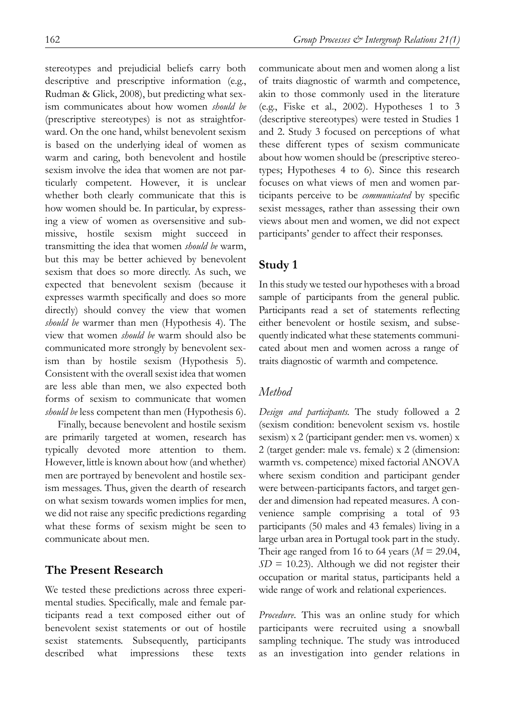stereotypes and prejudicial beliefs carry both descriptive and prescriptive information (e.g., Rudman & Glick, 2008), but predicting what sexism communicates about how women *should be* (prescriptive stereotypes) is not as straightforward. On the one hand, whilst benevolent sexism is based on the underlying ideal of women as warm and caring, both benevolent and hostile sexism involve the idea that women are not particularly competent. However, it is unclear whether both clearly communicate that this is how women should be. In particular, by expressing a view of women as oversensitive and submissive, hostile sexism might succeed in transmitting the idea that women *should be* warm, but this may be better achieved by benevolent sexism that does so more directly. As such, we expected that benevolent sexism (because it expresses warmth specifically and does so more directly) should convey the view that women *should be* warmer than men (Hypothesis 4). The view that women *should be* warm should also be communicated more strongly by benevolent sexism than by hostile sexism (Hypothesis 5). Consistent with the overall sexist idea that women are less able than men, we also expected both forms of sexism to communicate that women *should be* less competent than men (Hypothesis 6).

Finally, because benevolent and hostile sexism are primarily targeted at women, research has typically devoted more attention to them. However, little is known about how (and whether) men are portrayed by benevolent and hostile sexism messages. Thus, given the dearth of research on what sexism towards women implies for men, we did not raise any specific predictions regarding what these forms of sexism might be seen to communicate about men.

## **The Present Research**

We tested these predictions across three experimental studies. Specifically, male and female participants read a text composed either out of benevolent sexist statements or out of hostile sexist statements. Subsequently, participants described what impressions these texts

communicate about men and women along a list of traits diagnostic of warmth and competence, akin to those commonly used in the literature (e.g., Fiske et al., 2002). Hypotheses 1 to 3 (descriptive stereotypes) were tested in Studies 1 and 2. Study 3 focused on perceptions of what these different types of sexism communicate about how women should be (prescriptive stereotypes; Hypotheses 4 to 6). Since this research focuses on what views of men and women participants perceive to be *communicated* by specific sexist messages, rather than assessing their own views about men and women, we did not expect participants' gender to affect their responses.

## **Study 1**

In this study we tested our hypotheses with a broad sample of participants from the general public. Participants read a set of statements reflecting either benevolent or hostile sexism, and subsequently indicated what these statements communicated about men and women across a range of traits diagnostic of warmth and competence.

## *Method*

*Design and participants.* The study followed a 2 (sexism condition: benevolent sexism vs. hostile sexism) x 2 (participant gender: men vs. women) x 2 (target gender: male vs. female) x 2 (dimension: warmth vs. competence) mixed factorial ANOVA where sexism condition and participant gender were between-participants factors, and target gender and dimension had repeated measures. A convenience sample comprising a total of 93 participants (50 males and 43 females) living in a large urban area in Portugal took part in the study. Their age ranged from 16 to 64 years  $(M = 29.04$ ,  $SD = 10.23$ . Although we did not register their occupation or marital status, participants held a wide range of work and relational experiences.

*Procedure.* This was an online study for which participants were recruited using a snowball sampling technique. The study was introduced as an investigation into gender relations in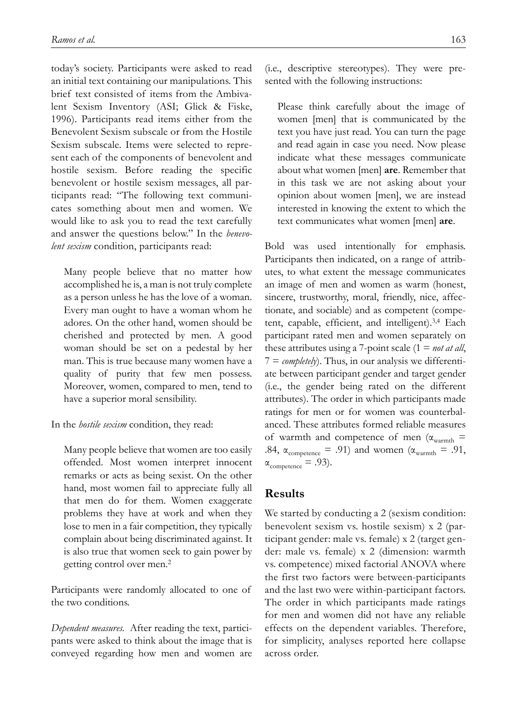today's society. Participants were asked to read an initial text containing our manipulations. This brief text consisted of items from the Ambivalent Sexism Inventory (ASI; Glick & Fiske, 1996). Participants read items either from the Benevolent Sexism subscale or from the Hostile Sexism subscale. Items were selected to represent each of the components of benevolent and hostile sexism. Before reading the specific benevolent or hostile sexism messages, all participants read: "The following text communicates something about men and women. We would like to ask you to read the text carefully and answer the questions below." In the *benevolent sexism* condition, participants read:

Many people believe that no matter how accomplished he is, a man is not truly complete as a person unless he has the love of a woman. Every man ought to have a woman whom he adores. On the other hand, women should be cherished and protected by men. A good woman should be set on a pedestal by her man. This is true because many women have a quality of purity that few men possess. Moreover, women, compared to men, tend to have a superior moral sensibility.

In the *hostile sexism* condition, they read:

Many people believe that women are too easily offended. Most women interpret innocent remarks or acts as being sexist. On the other hand, most women fail to appreciate fully all that men do for them. Women exaggerate problems they have at work and when they lose to men in a fair competition, they typically complain about being discriminated against. It is also true that women seek to gain power by getting control over men.2

Participants were randomly allocated to one of the two conditions.

*Dependent measures.* After reading the text, participants were asked to think about the image that is conveyed regarding how men and women are

(i.e., descriptive stereotypes). They were presented with the following instructions:

Please think carefully about the image of women [men] that is communicated by the text you have just read. You can turn the page and read again in case you need. Now please indicate what these messages communicate about what women [men] **are**. Remember that in this task we are not asking about your opinion about women [men], we are instead interested in knowing the extent to which the text communicates what women [men] **are**.

Bold was used intentionally for emphasis. Participants then indicated, on a range of attributes, to what extent the message communicates an image of men and women as warm (honest, sincere, trustworthy, moral, friendly, nice, affectionate, and sociable) and as competent (competent, capable, efficient, and intelligent).3,4 Each participant rated men and women separately on these attributes using a 7-point scale (1 = *not at all*, 7 = *completely*). Thus, in our analysis we differentiate between participant gender and target gender (i.e., the gender being rated on the different attributes). The order in which participants made ratings for men or for women was counterbalanced. These attributes formed reliable measures of warmth and competence of men ( $\alpha_{\text{warm}}$ ) .84,  $\alpha_{\text{competence}} = .91$ ) and women ( $\alpha_{\text{warmth}} = .91$ ,  $\alpha_{\text{connectence}} = .93$ .

### **Results**

We started by conducting a 2 (sexism condition: benevolent sexism vs. hostile sexism) x 2 (participant gender: male vs. female) x 2 (target gender: male vs. female) x 2 (dimension: warmth vs. competence) mixed factorial ANOVA where the first two factors were between-participants and the last two were within-participant factors. The order in which participants made ratings for men and women did not have any reliable effects on the dependent variables. Therefore, for simplicity, analyses reported here collapse across order.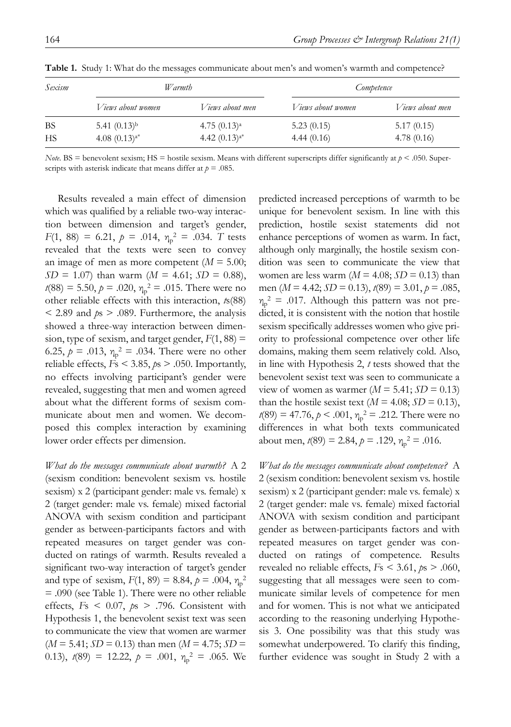| Sexism    | <i>W</i> armth     |                         | Competence        |                 |
|-----------|--------------------|-------------------------|-------------------|-----------------|
|           | Views about women  | Views about men         | Views about women | Views about men |
| <b>BS</b> | 5.41 $(0.13)^{b}$  | 4.75(0.13) <sup>a</sup> | 5.23(0.15)        | 5.17(0.15)      |
| HS        | 4.08 $(0.13)^{a*}$ | 4.42 $(0.13)^{a*}$      | 4.44(0.16)        | 4.78(0.16)      |

**Table 1.** Study 1: What do the messages communicate about men's and women's warmth and competence?

*Note*. BS = benevolent sexism; HS = hostile sexism. Means with different superscripts differ significantly at  $p < .050$ . Superscripts with asterisk indicate that means differ at  $p = .085$ .

Results revealed a main effect of dimension which was qualified by a reliable two-way interaction between dimension and target's gender,  $F(1, 88) = 6.21, p = .014, \eta_p^2 = .034$ . *T* tests revealed that the texts were seen to convey an image of men as more competent  $(M = 5.00;$  $SD = 1.07$  than warm  $(M = 4.61; SD = 0.88)$ ,  $t(88) = 5.50, p = .020, \eta_p^2 = .015$ . There were no other reliable effects with this interaction, *t*s(88) < 2.89 and *p*s > .089. Furthermore, the analysis showed a three-way interaction between dimension, type of sexism, and target gender,  $F(1, 88) =$ 6.25,  $p = .013$ ,  $\eta_p^2 = .034$ . There were no other reliable effects, *F*s < 3.85, *p*s > .050. Importantly, no effects involving participant's gender were revealed, suggesting that men and women agreed about what the different forms of sexism communicate about men and women. We decomposed this complex interaction by examining lower order effects per dimension.

*What do the messages communicate about warmth?* A 2 (sexism condition: benevolent sexism vs. hostile sexism) x 2 (participant gender: male vs. female) x 2 (target gender: male vs. female) mixed factorial ANOVA with sexism condition and participant gender as between-participants factors and with repeated measures on target gender was conducted on ratings of warmth. Results revealed a significant two-way interaction of target's gender and type of sexism,  $F(1, 89) = 8.84$ ,  $p = .004$ ,  $\eta_p^2$ = .090 (see Table 1). There were no other reliable effects, *F*s < 0.07, *p*s > .796. Consistent with Hypothesis 1, the benevolent sexist text was seen to communicate the view that women are warmer  $(M = 5.41; SD = 0.13)$  than men  $(M = 4.75; SD =$ 0.13),  $t(89) = 12.22$ ,  $p = .001$ ,  $\eta_p^2 = .065$ . We predicted increased perceptions of warmth to be unique for benevolent sexism. In line with this prediction, hostile sexist statements did not enhance perceptions of women as warm. In fact, although only marginally, the hostile sexism condition was seen to communicate the view that women are less warm  $(M = 4.08; SD = 0.13)$  than men (*M* = 4.42; *SD* = 0.13), *t*(89) = 3.01, *p* = .085,  $\eta_{\rm p}^2$  = .017. Although this pattern was not predicted, it is consistent with the notion that hostile sexism specifically addresses women who give priority to professional competence over other life domains, making them seem relatively cold. Also, in line with Hypothesis 2, *t* tests showed that the benevolent sexist text was seen to communicate a view of women as warmer  $(M = 5.41; SD = 0.13)$ than the hostile sexist text  $(M = 4.08; SD = 0.13)$ ,  $t(89) = 47.76$ ,  $p < .001$ ,  $\eta_p^2 = .212$ . There were no differences in what both texts communicated about men,  $t(89) = 2.84$ ,  $p = .129$ ,  $\eta_p^2 = .016$ .

*What do the messages communicate about competence?* A 2 (sexism condition: benevolent sexism vs. hostile sexism) x 2 (participant gender: male vs. female) x 2 (target gender: male vs. female) mixed factorial ANOVA with sexism condition and participant gender as between-participants factors and with repeated measures on target gender was conducted on ratings of competence. Results revealed no reliable effects,  $Fs \leq 3.61$ ,  $ps \geq .060$ , suggesting that all messages were seen to communicate similar levels of competence for men and for women. This is not what we anticipated according to the reasoning underlying Hypothesis 3. One possibility was that this study was somewhat underpowered. To clarify this finding, further evidence was sought in Study 2 with a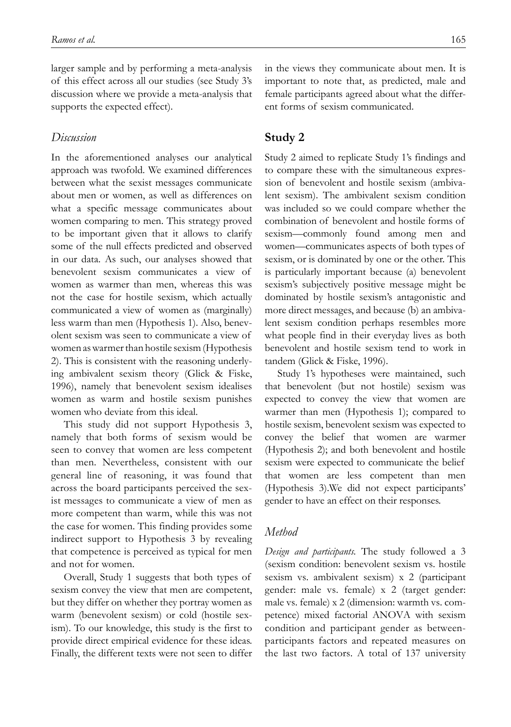larger sample and by performing a meta-analysis of this effect across all our studies (see Study 3's discussion where we provide a meta-analysis that supports the expected effect).

#### *Discussion*

In the aforementioned analyses our analytical approach was twofold. We examined differences between what the sexist messages communicate about men or women, as well as differences on what a specific message communicates about women comparing to men. This strategy proved to be important given that it allows to clarify some of the null effects predicted and observed in our data. As such, our analyses showed that benevolent sexism communicates a view of women as warmer than men, whereas this was not the case for hostile sexism, which actually communicated a view of women as (marginally) less warm than men (Hypothesis 1). Also, benevolent sexism was seen to communicate a view of women as warmer than hostile sexism (Hypothesis 2). This is consistent with the reasoning underlying ambivalent sexism theory (Glick & Fiske, 1996), namely that benevolent sexism idealises women as warm and hostile sexism punishes women who deviate from this ideal.

This study did not support Hypothesis 3, namely that both forms of sexism would be seen to convey that women are less competent than men. Nevertheless, consistent with our general line of reasoning, it was found that across the board participants perceived the sexist messages to communicate a view of men as more competent than warm, while this was not the case for women. This finding provides some indirect support to Hypothesis 3 by revealing that competence is perceived as typical for men and not for women.

Overall, Study 1 suggests that both types of sexism convey the view that men are competent, but they differ on whether they portray women as warm (benevolent sexism) or cold (hostile sexism). To our knowledge, this study is the first to provide direct empirical evidence for these ideas. Finally, the different texts were not seen to differ in the views they communicate about men. It is important to note that, as predicted, male and female participants agreed about what the different forms of sexism communicated.

#### **Study 2**

Study 2 aimed to replicate Study 1's findings and to compare these with the simultaneous expression of benevolent and hostile sexism (ambivalent sexism). The ambivalent sexism condition was included so we could compare whether the combination of benevolent and hostile forms of sexism—commonly found among men and women—communicates aspects of both types of sexism, or is dominated by one or the other. This is particularly important because (a) benevolent sexism's subjectively positive message might be dominated by hostile sexism's antagonistic and more direct messages, and because (b) an ambivalent sexism condition perhaps resembles more what people find in their everyday lives as both benevolent and hostile sexism tend to work in tandem (Glick & Fiske, 1996).

Study 1's hypotheses were maintained, such that benevolent (but not hostile) sexism was expected to convey the view that women are warmer than men (Hypothesis 1); compared to hostile sexism, benevolent sexism was expected to convey the belief that women are warmer (Hypothesis 2); and both benevolent and hostile sexism were expected to communicate the belief that women are less competent than men (Hypothesis 3).We did not expect participants' gender to have an effect on their responses.

#### *Method*

*Design and participants.* The study followed a 3 (sexism condition: benevolent sexism vs. hostile sexism vs. ambivalent sexism) x 2 (participant gender: male vs. female) x 2 (target gender: male vs. female) x 2 (dimension: warmth vs. competence) mixed factorial ANOVA with sexism condition and participant gender as betweenparticipants factors and repeated measures on the last two factors. A total of 137 university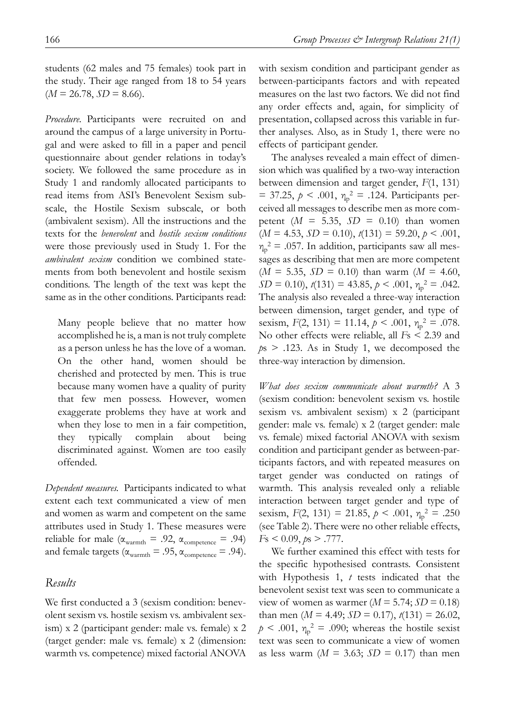students (62 males and 75 females) took part in the study. Their age ranged from 18 to 54 years  $(M = 26.78, SD = 8.66)$ .

*Procedure.* Participants were recruited on and around the campus of a large university in Portugal and were asked to fill in a paper and pencil questionnaire about gender relations in today's society. We followed the same procedure as in Study 1 and randomly allocated participants to read items from ASI's Benevolent Sexism subscale, the Hostile Sexism subscale, or both (ambivalent sexism). All the instructions and the texts for the *benevolent* and *hostile sexism conditions* were those previously used in Study 1. For the *ambivalent sexism* condition we combined statements from both benevolent and hostile sexism conditions. The length of the text was kept the same as in the other conditions. Participants read:

Many people believe that no matter how accomplished he is, a man is not truly complete as a person unless he has the love of a woman. On the other hand, women should be cherished and protected by men. This is true because many women have a quality of purity that few men possess. However, women exaggerate problems they have at work and when they lose to men in a fair competition, they typically complain about being discriminated against. Women are too easily offended.

*Dependent measures.* Participants indicated to what extent each text communicated a view of men and women as warm and competent on the same attributes used in Study 1. These measures were reliable for male ( $\alpha_{\text{warmth}} = .92$ ,  $\alpha_{\text{competence}} = .94$ ) and female targets ( $\alpha_{warmth} = .95$ ,  $\alpha_{connected} = .94$ ).

#### *Results*

We first conducted a 3 (sexism condition: benevolent sexism vs. hostile sexism vs. ambivalent sexism) x 2 (participant gender: male vs. female) x 2 (target gender: male vs. female) x 2 (dimension: warmth vs. competence) mixed factorial ANOVA

with sexism condition and participant gender as between-participants factors and with repeated measures on the last two factors. We did not find any order effects and, again, for simplicity of presentation, collapsed across this variable in further analyses. Also, as in Study 1, there were no effects of participant gender.

The analyses revealed a main effect of dimension which was qualified by a two-way interaction between dimension and target gender, *F*(1, 131)  $=$  37.25,  $p \le 0.001$ ,  $\eta_p^2 = 0.124$ . Participants perceived all messages to describe men as more competent  $(M = 5.35, SD = 0.10)$  than women  $(M = 4.53, SD = 0.10), t(131) = 59.20, p < .001,$  $\eta_p^2$  = .057. In addition, participants saw all messages as describing that men are more competent  $(M = 5.35, SD = 0.10)$  than warm  $(M = 4.60,$  $SD = 0.10$ ,  $t(131) = 43.85$ ,  $p < .001$ ,  $\eta_p^2 = .042$ . The analysis also revealed a three-way interaction between dimension, target gender, and type of sexism,  $F(2, 131) = 11.14, p < .001, \eta_p^2 = .078$ . No other effects were reliable, all *F*s < 2.39 and *p*s > .123. As in Study 1, we decomposed the three-way interaction by dimension.

*What does sexism communicate about warmth?* A 3 (sexism condition: benevolent sexism vs. hostile sexism vs. ambivalent sexism) x 2 (participant gender: male vs. female) x 2 (target gender: male vs. female) mixed factorial ANOVA with sexism condition and participant gender as between-participants factors, and with repeated measures on target gender was conducted on ratings of warmth. This analysis revealed only a reliable interaction between target gender and type of sexism,  $F(2, 131) = 21.85, p < .001, \eta_p^2 = .250$ (see Table 2). There were no other reliable effects,  $F_s$  < 0.09,  $p_s$  > .777.

We further examined this effect with tests for the specific hypothesised contrasts. Consistent with Hypothesis 1, *t* tests indicated that the benevolent sexist text was seen to communicate a view of women as warmer  $(M = 5.74; SD = 0.18)$ than men ( $M = 4.49$ ;  $SD = 0.17$ ),  $t(131) = 26.02$ ,  $p \leq 0.001$ ,  $\eta_p^2 = 0.090$ ; whereas the hostile sexist text was seen to communicate a view of women as less warm  $(M = 3.63; SD = 0.17)$  than men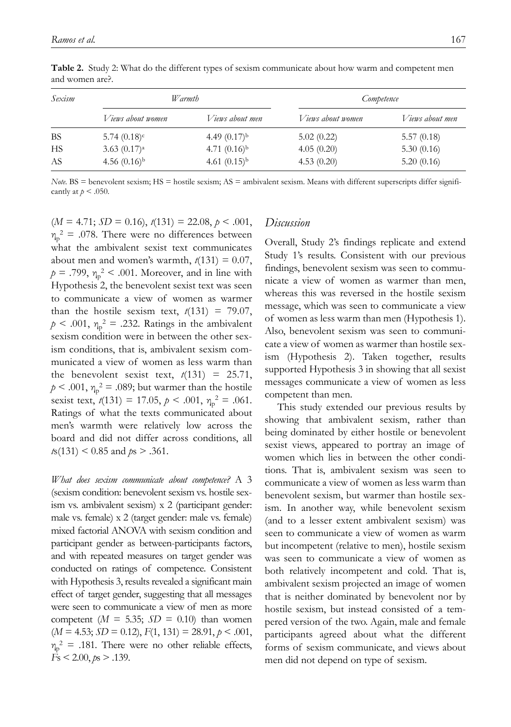| Sexism | <i>W</i> armth    |                   | Competence        |                 |
|--------|-------------------|-------------------|-------------------|-----------------|
|        | Views about women | Views about men   | Views about women | Views about men |
| BS     | $5.74(0.18)^c$    | 4.49 $(0.17)^{b}$ | 5.02(0.22)        | 5.57(0.18)      |
| НS     | $3.63(0.17)^a$    | 4.71 $(0.16)^{b}$ | 4.05(0.20)        | 5.30(0.16)      |
| AS     | 4.56 $(0.16)^{b}$ | 4.61 $(0.15)^{b}$ | 4.53(0.20)        | 5.20(0.16)      |

**Table 2.** Study 2: What do the different types of sexism communicate about how warm and competent men and women are?.

*Note*. BS = benevolent sexism; HS = hostile sexism; AS = ambivalent sexism. Means with different superscripts differ significantly at  $p < .050$ .

 $(M = 4.71; SD = 0.16), t(131) = 22.08, p < .001,$  $\eta_p^2$  = .078. There were no differences between what the ambivalent sexist text communicates about men and women's warmth,  $t(131) = 0.07$ ,  $p = .799$ ,  $\eta_p^2$  < .001. Moreover, and in line with Hypothesis 2, the benevolent sexist text was seen to communicate a view of women as warmer than the hostile sexism text,  $t(131) = 79.07$ ,  $p \leq .001$ ,  $\eta_p^2 = .232$ . Ratings in the ambivalent sexism condition were in between the other sexism conditions, that is, ambivalent sexism communicated a view of women as less warm than the benevolent sexist text,  $t(131) = 25.71$ ,  $p < .001$ ,  $\eta_p^2 = .089$ ; but warmer than the hostile sexist text,  $t(131) = 17.05$ ,  $p < .001$ ,  $\eta_p^2 = .061$ . Ratings of what the texts communicated about men's warmth were relatively low across the board and did not differ across conditions, all *t*s(131) < 0.85 and *p*s > .361.

*What does sexism communicate about competence?* A 3 (sexism condition: benevolent sexism vs. hostile sexism vs. ambivalent sexism) x 2 (participant gender: male vs. female) x 2 (target gender: male vs. female) mixed factorial ANOVA with sexism condition and participant gender as between-participants factors, and with repeated measures on target gender was conducted on ratings of competence. Consistent with Hypothesis 3, results revealed a significant main effect of target gender, suggesting that all messages were seen to communicate a view of men as more competent  $(M = 5.35; SD = 0.10)$  than women (*M* = 4.53; *SD* = 0.12), *F*(1, 131) = 28.91, *p* < .001,  $\eta_{\rm p}^2$  = .181. There were no other reliable effects, *F*s < 2.00, *p*s > .139.

#### *Discussion*

Overall, Study 2's findings replicate and extend Study 1's results. Consistent with our previous findings, benevolent sexism was seen to communicate a view of women as warmer than men, whereas this was reversed in the hostile sexism message, which was seen to communicate a view of women as less warm than men (Hypothesis 1). Also, benevolent sexism was seen to communicate a view of women as warmer than hostile sexism (Hypothesis 2). Taken together, results supported Hypothesis 3 in showing that all sexist messages communicate a view of women as less competent than men.

This study extended our previous results by showing that ambivalent sexism, rather than being dominated by either hostile or benevolent sexist views, appeared to portray an image of women which lies in between the other conditions. That is, ambivalent sexism was seen to communicate a view of women as less warm than benevolent sexism, but warmer than hostile sexism. In another way, while benevolent sexism (and to a lesser extent ambivalent sexism) was seen to communicate a view of women as warm but incompetent (relative to men), hostile sexism was seen to communicate a view of women as both relatively incompetent and cold. That is, ambivalent sexism projected an image of women that is neither dominated by benevolent nor by hostile sexism, but instead consisted of a tempered version of the two. Again, male and female participants agreed about what the different forms of sexism communicate, and views about men did not depend on type of sexism.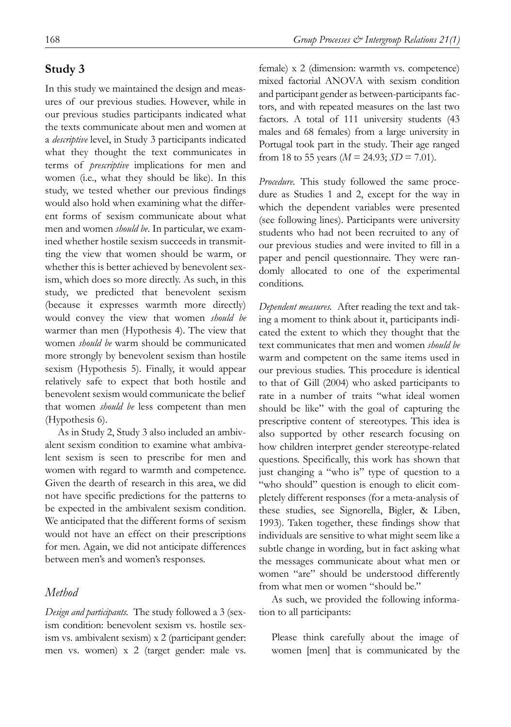#### **Study 3**

In this study we maintained the design and measures of our previous studies. However, while in our previous studies participants indicated what the texts communicate about men and women at a *descriptive* level, in Study 3 participants indicated what they thought the text communicates in terms of *prescriptive* implications for men and women (i.e., what they should be like). In this study, we tested whether our previous findings would also hold when examining what the different forms of sexism communicate about what men and women *should be*. In particular, we examined whether hostile sexism succeeds in transmitting the view that women should be warm, or whether this is better achieved by benevolent sexism, which does so more directly. As such, in this study, we predicted that benevolent sexism (because it expresses warmth more directly) would convey the view that women *should be* warmer than men (Hypothesis 4). The view that women *should be* warm should be communicated more strongly by benevolent sexism than hostile sexism (Hypothesis 5). Finally, it would appear relatively safe to expect that both hostile and benevolent sexism would communicate the belief that women *should be* less competent than men (Hypothesis 6).

As in Study 2, Study 3 also included an ambivalent sexism condition to examine what ambivalent sexism is seen to prescribe for men and women with regard to warmth and competence. Given the dearth of research in this area, we did not have specific predictions for the patterns to be expected in the ambivalent sexism condition. We anticipated that the different forms of sexism would not have an effect on their prescriptions for men. Again, we did not anticipate differences between men's and women's responses.

#### *Method*

*Design and participants.* The study followed a 3 (sexism condition: benevolent sexism vs. hostile sexism vs. ambivalent sexism) x 2 (participant gender: men vs. women) x 2 (target gender: male vs. female) x 2 (dimension: warmth vs. competence) mixed factorial ANOVA with sexism condition and participant gender as between-participants factors, and with repeated measures on the last two factors. A total of 111 university students (43 males and 68 females) from a large university in Portugal took part in the study. Their age ranged from 18 to 55 years ( $M = 24.93$ ;  $SD = 7.01$ ).

*Procedure.* This study followed the same procedure as Studies 1 and 2, except for the way in which the dependent variables were presented (see following lines). Participants were university students who had not been recruited to any of our previous studies and were invited to fill in a paper and pencil questionnaire. They were randomly allocated to one of the experimental conditions.

*Dependent measures.* After reading the text and taking a moment to think about it, participants indicated the extent to which they thought that the text communicates that men and women *should be* warm and competent on the same items used in our previous studies. This procedure is identical to that of Gill (2004) who asked participants to rate in a number of traits "what ideal women should be like" with the goal of capturing the prescriptive content of stereotypes. This idea is also supported by other research focusing on how children interpret gender stereotype-related questions. Specifically, this work has shown that just changing a "who is" type of question to a "who should" question is enough to elicit completely different responses (for a meta-analysis of these studies, see Signorella, Bigler, & Liben, 1993). Taken together, these findings show that individuals are sensitive to what might seem like a subtle change in wording, but in fact asking what the messages communicate about what men or women "are" should be understood differently from what men or women "should be."

As such, we provided the following information to all participants:

Please think carefully about the image of women [men] that is communicated by the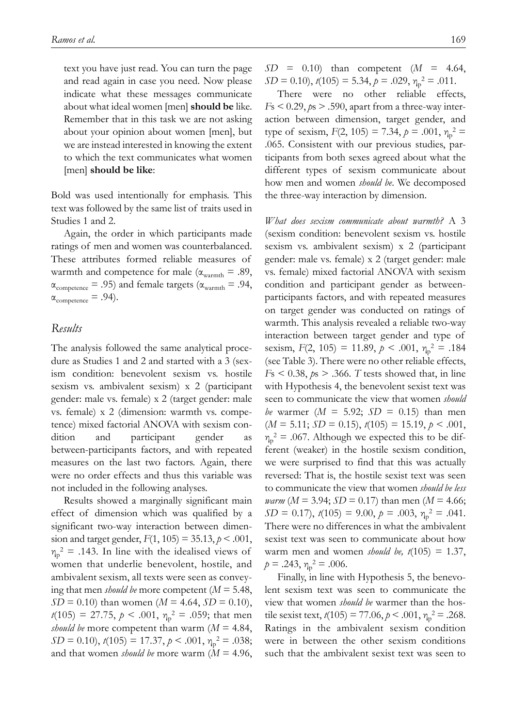text you have just read. You can turn the page and read again in case you need. Now please indicate what these messages communicate about what ideal women [men] **should be** like. Remember that in this task we are not asking about your opinion about women [men], but we are instead interested in knowing the extent to which the text communicates what women [men] **should be like**:

Bold was used intentionally for emphasis. This text was followed by the same list of traits used in Studies 1 and 2.

Again, the order in which participants made ratings of men and women was counterbalanced. These attributes formed reliable measures of warmth and competence for male ( $\alpha_{\text{warmth}} = .89$ ,  $\alpha_{\text{competence}} = .95$ ) and female targets ( $\alpha_{\text{warmth}} = .94$ ,  $\alpha_{\text{competence}} = .94$ ).

#### *Results*

The analysis followed the same analytical procedure as Studies 1 and 2 and started with a 3 (sexism condition: benevolent sexism vs. hostile sexism vs. ambivalent sexism) x 2 (participant gender: male vs. female) x 2 (target gender: male vs. female) x 2 (dimension: warmth vs. competence) mixed factorial ANOVA with sexism condition and participant gender as between-participants factors, and with repeated measures on the last two factors. Again, there were no order effects and thus this variable was not included in the following analyses.

Results showed a marginally significant main effect of dimension which was qualified by a significant two-way interaction between dimension and target gender,  $F(1, 105) = 35.13$ ,  $p < .001$ ,  $\eta_p^2$  = .143. In line with the idealised views of women that underlie benevolent, hostile, and ambivalent sexism, all texts were seen as conveying that men *should be* more competent (*M* = 5.48,  $SD = 0.10$  than women (*M* = 4.64, *SD* = 0.10),  $t(105) = 27.75$ ,  $p < .001$ ,  $\eta_p^2 = .059$ ; that men *should be* more competent than warm (*M* = 4.84,  $SD = 0.10$ ),  $t(105) = 17.37$ ,  $p < .001$ ,  $\eta_p^2 = .038$ ; and that women *should be* more warm ( $\dot{M} = 4.96$ ,

 $SD = 0.10$ ) than competent  $(M = 4.64,$  $SD = 0.10$ ),  $t(105) = 5.34$ ,  $p = .029$ ,  $\eta_p^2 = .011$ .

There were no other reliable effects,  $F<sub>s</sub> < 0.29$ ,  $p<sub>s</sub> > 0.590$ , apart from a three-way interaction between dimension, target gender, and type of sexism,  $F(2, 105) = 7.34$ ,  $p = .001$ ,  $\eta_p^2 =$ .065. Consistent with our previous studies, participants from both sexes agreed about what the different types of sexism communicate about how men and women *should be*. We decomposed the three-way interaction by dimension.

*What does sexism communicate about warmth?* A 3 (sexism condition: benevolent sexism vs. hostile sexism vs. ambivalent sexism) x 2 (participant gender: male vs. female) x 2 (target gender: male vs. female) mixed factorial ANOVA with sexism condition and participant gender as betweenparticipants factors, and with repeated measures on target gender was conducted on ratings of warmth. This analysis revealed a reliable two-way interaction between target gender and type of sexism,  $F(2, 105) = 11.89, p < .001, \eta_p^2 = .184$ (see Table 3). There were no other reliable effects,  $F_s$  < 0.38,  $p_s$  > .366. *T* tests showed that, in line with Hypothesis 4, the benevolent sexist text was seen to communicate the view that women *should be* warmer (*M* = 5.92; *SD* = 0.15) than men  $(M = 5.11; SD = 0.15), t(105) = 15.19, p < .001,$  $\eta_p^2$  = .067. Although we expected this to be different (weaker) in the hostile sexism condition, we were surprised to find that this was actually reversed: That is, the hostile sexist text was seen to communicate the view that women *should be less warm* (*M* = 3.94; *SD* = 0.17) than men (*M* = 4.66;  $SD = 0.17$ ,  $t(105) = 9.00$ ,  $p = .003$ ,  $\eta_p^2 = .041$ . There were no differences in what the ambivalent sexist text was seen to communicate about how warm men and women *should be, t*(105) = 1.37,  $p = .243$ ,  $\eta_p^2 = .006$ .

Finally, in line with Hypothesis 5, the benevolent sexism text was seen to communicate the view that women *should be* warmer than the hostile sexist text,  $t(105) = 77.06$ ,  $p < .001$ ,  $\eta_p^2 = .268$ . Ratings in the ambivalent sexism condition were in between the other sexism conditions such that the ambivalent sexist text was seen to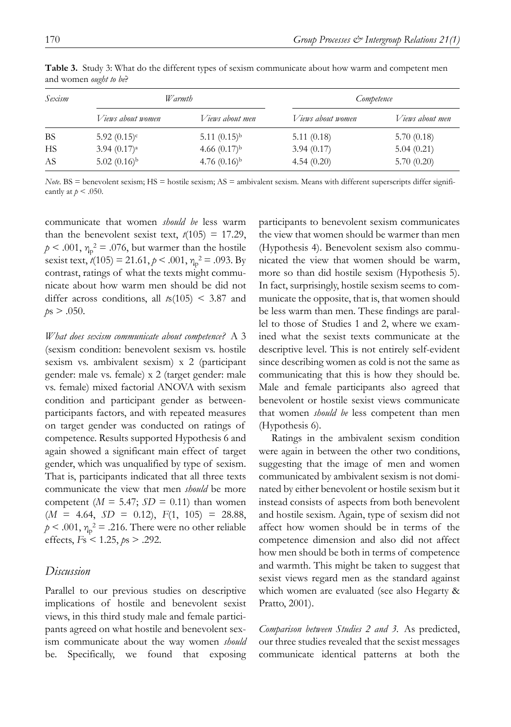| Sexism | Warmth            |                   | Competence        |                 |
|--------|-------------------|-------------------|-------------------|-----------------|
|        | Views about women | Views about men   | Views about women | Views about men |
| BS     | $5.92(0.15)^c$    | 5.11 $(0.15)^{b}$ | 5.11(0.18)        | 5.70(0.18)      |
| HS     | $3.94(0.17)^a$    | 4.66 $(0.17)^{b}$ | 3.94(0.17)        | 5.04(0.21)      |
| AS     | 5.02 $(0.16)^{b}$ | 4.76 $(0.16)^{b}$ | 4.54(0.20)        | 5.70(0.20)      |

**Table 3.** Study 3: What do the different types of sexism communicate about how warm and competent men and women *ought to be*?

*Note*. BS = benevolent sexism; HS = hostile sexism; AS = ambivalent sexism. Means with different superscripts differ significantly at  $p < .050$ .

communicate that women *should be* less warm than the benevolent sexist text,  $t(105) = 17.29$ ,  $p < .001$ ,  $\eta_p^2 = .076$ , but warmer than the hostile sexist text,  $t(105) = 21.61$ ,  $p < .001$ ,  $\eta_p^2 = .093$ . By contrast, ratings of what the texts might communicate about how warm men should be did not differ across conditions, all *t*s(105) < 3.87 and  $p s > .050$ .

*What does sexism communicate about competence?* A 3 (sexism condition: benevolent sexism vs. hostile sexism vs. ambivalent sexism) x 2 (participant gender: male vs. female) x 2 (target gender: male vs. female) mixed factorial ANOVA with sexism condition and participant gender as betweenparticipants factors, and with repeated measures on target gender was conducted on ratings of competence. Results supported Hypothesis 6 and again showed a significant main effect of target gender, which was unqualified by type of sexism. That is, participants indicated that all three texts communicate the view that men *should* be more competent ( $M = 5.47$ ;  $SD = 0.11$ ) than women  $(M = 4.64, SD = 0.12), F(1, 105) = 28.88,$  $p < .001$ ,  $\eta_p^2 = .216$ . There were no other reliable effects, *F*s < 1.25, *p*s > .292.

#### *Discussion*

Parallel to our previous studies on descriptive implications of hostile and benevolent sexist views, in this third study male and female participants agreed on what hostile and benevolent sexism communicate about the way women *should* be. Specifically, we found that exposing participants to benevolent sexism communicates the view that women should be warmer than men (Hypothesis 4). Benevolent sexism also communicated the view that women should be warm, more so than did hostile sexism (Hypothesis 5). In fact, surprisingly, hostile sexism seems to communicate the opposite, that is, that women should be less warm than men. These findings are parallel to those of Studies 1 and 2, where we examined what the sexist texts communicate at the descriptive level. This is not entirely self-evident since describing women as cold is not the same as communicating that this is how they should be. Male and female participants also agreed that benevolent or hostile sexist views communicate that women *should be* less competent than men (Hypothesis 6).

Ratings in the ambivalent sexism condition were again in between the other two conditions, suggesting that the image of men and women communicated by ambivalent sexism is not dominated by either benevolent or hostile sexism but it instead consists of aspects from both benevolent and hostile sexism. Again, type of sexism did not affect how women should be in terms of the competence dimension and also did not affect how men should be both in terms of competence and warmth. This might be taken to suggest that sexist views regard men as the standard against which women are evaluated (see also Hegarty & Pratto, 2001).

*Comparison between Studies 2 and 3.* As predicted, our three studies revealed that the sexist messages communicate identical patterns at both the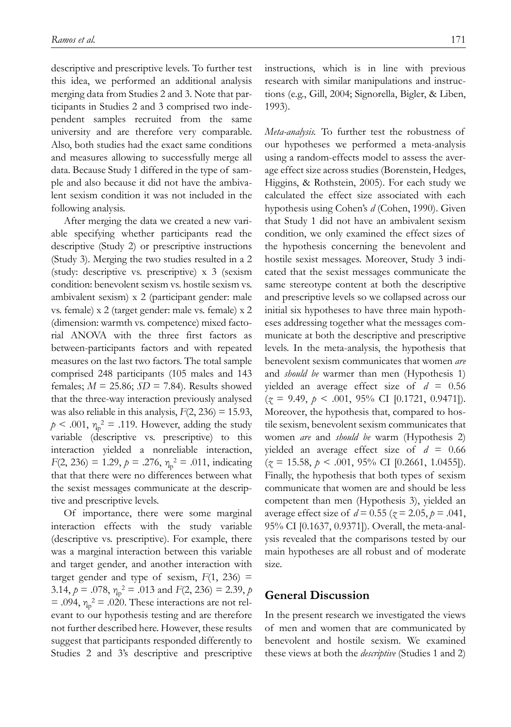descriptive and prescriptive levels. To further test this idea, we performed an additional analysis merging data from Studies 2 and 3. Note that participants in Studies 2 and 3 comprised two independent samples recruited from the same university and are therefore very comparable. Also, both studies had the exact same conditions and measures allowing to successfully merge all data. Because Study 1 differed in the type of sample and also because it did not have the ambivalent sexism condition it was not included in the following analysis.

After merging the data we created a new variable specifying whether participants read the descriptive (Study 2) or prescriptive instructions (Study 3). Merging the two studies resulted in a 2 (study: descriptive vs. prescriptive) x 3 (sexism condition: benevolent sexism vs. hostile sexism vs. ambivalent sexism) x 2 (participant gender: male vs. female) x 2 (target gender: male vs. female) x 2 (dimension: warmth vs. competence) mixed factorial ANOVA with the three first factors as between-participants factors and with repeated measures on the last two factors. The total sample comprised 248 participants (105 males and 143 females;  $M = 25.86$ ;  $SD = 7.84$ ). Results showed that the three-way interaction previously analysed was also reliable in this analysis,  $F(2, 236) = 15.93$ ,  $p < .001$ ,  $\eta_p^2 = .119$ . However, adding the study variable (descriptive vs. prescriptive) to this interaction yielded a nonreliable interaction,  $F(2, 236) = 1.29, p = .276, \eta_p^2 = .011$ , indicating that that there were no differences between what the sexist messages communicate at the descriptive and prescriptive levels.

Of importance, there were some marginal interaction effects with the study variable (descriptive vs. prescriptive). For example, there was a marginal interaction between this variable and target gender, and another interaction with target gender and type of sexism,  $F(1, 236)$  = 3.14,  $p = .078$ ,  $\eta_p^2 = .013$  and  $F(2, 236) = 2.39$ ,  $p = 2.39$  $= .094$ ,  $\eta_p^2 = .020$ . These interactions are not relevant to our hypothesis testing and are therefore not further described here. However, these results suggest that participants responded differently to Studies 2 and 3's descriptive and prescriptive

instructions, which is in line with previous research with similar manipulations and instructions (e.g., Gill, 2004; Signorella, Bigler, & Liben, 1993).

*Meta-analysis.* To further test the robustness of our hypotheses we performed a meta-analysis using a random-effects model to assess the average effect size across studies (Borenstein, Hedges, Higgins, & Rothstein, 2005). For each study we calculated the effect size associated with each hypothesis using Cohen's *d* (Cohen, 1990). Given that Study 1 did not have an ambivalent sexism condition, we only examined the effect sizes of the hypothesis concerning the benevolent and hostile sexist messages. Moreover, Study 3 indicated that the sexist messages communicate the same stereotype content at both the descriptive and prescriptive levels so we collapsed across our initial six hypotheses to have three main hypotheses addressing together what the messages communicate at both the descriptive and prescriptive levels. In the meta-analysis, the hypothesis that benevolent sexism communicates that women *are* and *should be* warmer than men (Hypothesis 1) yielded an average effect size of *d* = 0.56 (*z* = 9.49, *p* < .001, 95% CI [0.1721, 0.9471]). Moreover, the hypothesis that, compared to hostile sexism, benevolent sexism communicates that women *are* and *should be* warm (Hypothesis 2) yielded an average effect size of *d* = 0.66 (*z* = 15.58, *p* < .001, 95% CI [0.2661, 1.0455]). Finally, the hypothesis that both types of sexism communicate that women are and should be less competent than men (Hypothesis 3), yielded an average effect size of  $d = 0.55$  ( $\gamma = 2.05$ ,  $p = .041$ , 95% CI [0.1637, 0.9371]). Overall, the meta-analysis revealed that the comparisons tested by our main hypotheses are all robust and of moderate size.

#### **General Discussion**

In the present research we investigated the views of men and women that are communicated by benevolent and hostile sexism. We examined these views at both the *descriptive* (Studies 1 and 2)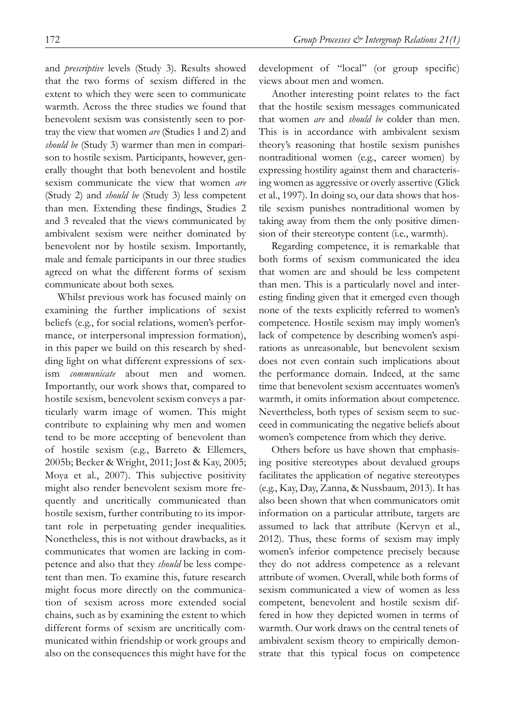and *prescriptive* levels (Study 3). Results showed that the two forms of sexism differed in the extent to which they were seen to communicate warmth. Across the three studies we found that benevolent sexism was consistently seen to portray the view that women *are* (Studies 1 and 2) and *should be* (Study 3) warmer than men in comparison to hostile sexism. Participants, however, generally thought that both benevolent and hostile sexism communicate the view that women *are* (Study 2) and *should be* (Study 3) less competent than men. Extending these findings, Studies 2 and 3 revealed that the views communicated by ambivalent sexism were neither dominated by benevolent nor by hostile sexism. Importantly, male and female participants in our three studies agreed on what the different forms of sexism communicate about both sexes.

Whilst previous work has focused mainly on examining the further implications of sexist beliefs (e.g., for social relations, women's performance, or interpersonal impression formation), in this paper we build on this research by shedding light on what different expressions of sexism *communicate* about men and women. Importantly, our work shows that, compared to hostile sexism, benevolent sexism conveys a particularly warm image of women. This might contribute to explaining why men and women tend to be more accepting of benevolent than of hostile sexism (e.g., Barreto & Ellemers, 2005b; Becker & Wright, 2011; Jost & Kay, 2005; Moya et al., 2007). This subjective positivity might also render benevolent sexism more frequently and uncritically communicated than hostile sexism, further contributing to its important role in perpetuating gender inequalities. Nonetheless, this is not without drawbacks, as it communicates that women are lacking in competence and also that they *should* be less competent than men. To examine this, future research might focus more directly on the communication of sexism across more extended social chains, such as by examining the extent to which different forms of sexism are uncritically communicated within friendship or work groups and also on the consequences this might have for the

development of "local" (or group specific) views about men and women.

Another interesting point relates to the fact that the hostile sexism messages communicated that women *are* and *should be* colder than men. This is in accordance with ambivalent sexism theory's reasoning that hostile sexism punishes nontraditional women (e.g., career women) by expressing hostility against them and characterising women as aggressive or overly assertive (Glick et al., 1997). In doing so, our data shows that hostile sexism punishes nontraditional women by taking away from them the only positive dimension of their stereotype content (i.e., warmth).

Regarding competence, it is remarkable that both forms of sexism communicated the idea that women are and should be less competent than men. This is a particularly novel and interesting finding given that it emerged even though none of the texts explicitly referred to women's competence. Hostile sexism may imply women's lack of competence by describing women's aspirations as unreasonable, but benevolent sexism does not even contain such implications about the performance domain. Indeed, at the same time that benevolent sexism accentuates women's warmth, it omits information about competence. Nevertheless, both types of sexism seem to succeed in communicating the negative beliefs about women's competence from which they derive.

Others before us have shown that emphasising positive stereotypes about devalued groups facilitates the application of negative stereotypes (e.g., Kay, Day, Zanna, & Nussbaum, 2013). It has also been shown that when communicators omit information on a particular attribute, targets are assumed to lack that attribute (Kervyn et al., 2012). Thus, these forms of sexism may imply women's inferior competence precisely because they do not address competence as a relevant attribute of women. Overall, while both forms of sexism communicated a view of women as less competent, benevolent and hostile sexism differed in how they depicted women in terms of warmth. Our work draws on the central tenets of ambivalent sexism theory to empirically demonstrate that this typical focus on competence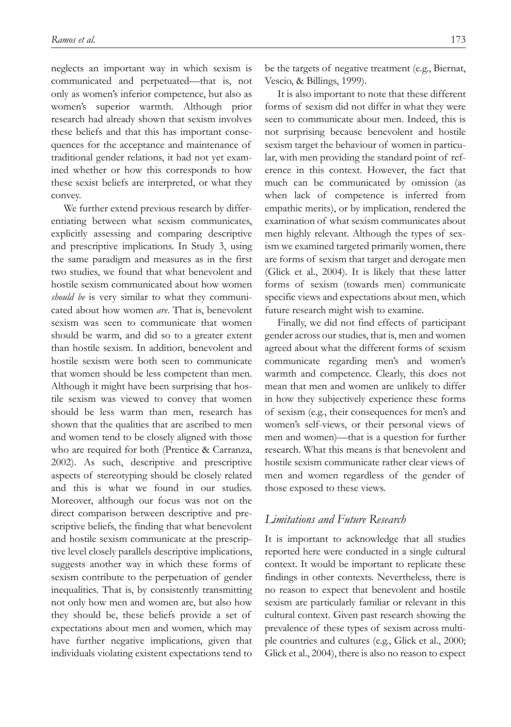neglects an important way in which sexism is communicated and perpetuated—that is, not only as women's inferior competence, but also as women's superior warmth. Although prior research had already shown that sexism involves these beliefs and that this has important consequences for the acceptance and maintenance of traditional gender relations, it had not yet examined whether or how this corresponds to how these sexist beliefs are interpreted, or what they convey.

We further extend previous research by differentiating between what sexism communicates, explicitly assessing and comparing descriptive and prescriptive implications. In Study 3, using the same paradigm and measures as in the first two studies, we found that what benevolent and hostile sexism communicated about how women *should be* is very similar to what they communicated about how women *are*. That is, benevolent sexism was seen to communicate that women should be warm, and did so to a greater extent than hostile sexism. In addition, benevolent and hostile sexism were both seen to communicate that women should be less competent than men. Although it might have been surprising that hostile sexism was viewed to convey that women should be less warm than men, research has shown that the qualities that are ascribed to men and women tend to be closely aligned with those who are required for both (Prentice & Carranza, 2002). As such, descriptive and prescriptive aspects of stereotyping should be closely related and this is what we found in our studies. Moreover, although our focus was not on the direct comparison between descriptive and prescriptive beliefs, the finding that what benevolent and hostile sexism communicate at the prescriptive level closely parallels descriptive implications, suggests another way in which these forms of sexism contribute to the perpetuation of gender inequalities. That is, by consistently transmitting not only how men and women are, but also how they should be, these beliefs provide a set of expectations about men and women, which may have further negative implications, given that individuals violating existent expectations tend to

be the targets of negative treatment (e.g., Biernat, Vescio, & Billings, 1999).

It is also important to note that these different forms of sexism did not differ in what they were seen to communicate about men. Indeed, this is not surprising because benevolent and hostile sexism target the behaviour of women in particular, with men providing the standard point of reference in this context. However, the fact that much can be communicated by omission (as when lack of competence is inferred from empathic merits), or by implication, rendered the examination of what sexism communicates about men highly relevant. Although the types of sexism we examined targeted primarily women, there are forms of sexism that target and derogate men (Glick et al., 2004). It is likely that these latter forms of sexism (towards men) communicate specific views and expectations about men, which future research might wish to examine.

Finally, we did not find effects of participant gender across our studies, that is, men and women agreed about what the different forms of sexism communicate regarding men's and women's warmth and competence. Clearly, this does not mean that men and women are unlikely to differ in how they subjectively experience these forms of sexism (e.g., their consequences for men's and women's self-views, or their personal views of men and women)—that is a question for further research. What this means is that benevolent and hostile sexism communicate rather clear views of men and women regardless of the gender of those exposed to these views.

#### *Limitations and Future Research*

It is important to acknowledge that all studies reported here were conducted in a single cultural context. It would be important to replicate these findings in other contexts. Nevertheless, there is no reason to expect that benevolent and hostile sexism are particularly familiar or relevant in this cultural context. Given past research showing the prevalence of these types of sexism across multiple countries and cultures (e.g., Glick et al., 2000; Glick et al., 2004), there is also no reason to expect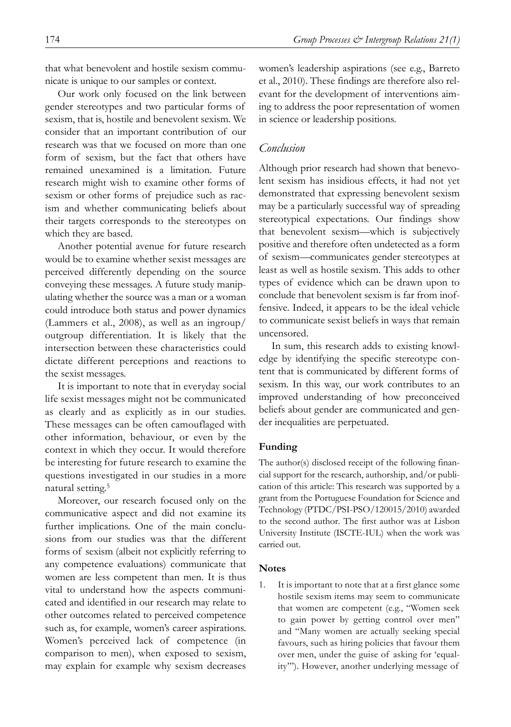that what benevolent and hostile sexism communicate is unique to our samples or context.

Our work only focused on the link between gender stereotypes and two particular forms of sexism, that is, hostile and benevolent sexism. We consider that an important contribution of our research was that we focused on more than one form of sexism, but the fact that others have remained unexamined is a limitation. Future research might wish to examine other forms of sexism or other forms of prejudice such as racism and whether communicating beliefs about their targets corresponds to the stereotypes on which they are based.

Another potential avenue for future research would be to examine whether sexist messages are perceived differently depending on the source conveying these messages. A future study manipulating whether the source was a man or a woman could introduce both status and power dynamics (Lammers et al., 2008), as well as an ingroup/ outgroup differentiation. It is likely that the intersection between these characteristics could dictate different perceptions and reactions to the sexist messages.

It is important to note that in everyday social life sexist messages might not be communicated as clearly and as explicitly as in our studies. These messages can be often camouflaged with other information, behaviour, or even by the context in which they occur. It would therefore be interesting for future research to examine the questions investigated in our studies in a more natural setting.5

Moreover, our research focused only on the communicative aspect and did not examine its further implications. One of the main conclusions from our studies was that the different forms of sexism (albeit not explicitly referring to any competence evaluations) communicate that women are less competent than men. It is thus vital to understand how the aspects communicated and identified in our research may relate to other outcomes related to perceived competence such as, for example, women's career aspirations. Women's perceived lack of competence (in comparison to men), when exposed to sexism, may explain for example why sexism decreases

women's leadership aspirations (see e.g., Barreto et al., 2010). These findings are therefore also relevant for the development of interventions aiming to address the poor representation of women in science or leadership positions.

#### *Conclusion*

Although prior research had shown that benevolent sexism has insidious effects, it had not yet demonstrated that expressing benevolent sexism may be a particularly successful way of spreading stereotypical expectations. Our findings show that benevolent sexism—which is subjectively positive and therefore often undetected as a form of sexism—communicates gender stereotypes at least as well as hostile sexism. This adds to other types of evidence which can be drawn upon to conclude that benevolent sexism is far from inoffensive. Indeed, it appears to be the ideal vehicle to communicate sexist beliefs in ways that remain uncensored.

In sum, this research adds to existing knowledge by identifying the specific stereotype content that is communicated by different forms of sexism. In this way, our work contributes to an improved understanding of how preconceived beliefs about gender are communicated and gender inequalities are perpetuated.

#### **Funding**

The author(s) disclosed receipt of the following financial support for the research, authorship, and/or publication of this article: This research was supported by a grant from the Portuguese Foundation for Science and Technology (PTDC/PSI-PSO/120015/2010) awarded to the second author. The first author was at Lisbon University Institute (ISCTE-IUL) when the work was carried out.

#### **Notes**

1. It is important to note that at a first glance some hostile sexism items may seem to communicate that women are competent (e.g., "Women seek to gain power by getting control over men" and "Many women are actually seeking special favours, such as hiring policies that favour them over men, under the guise of asking for 'equality'"). However, another underlying message of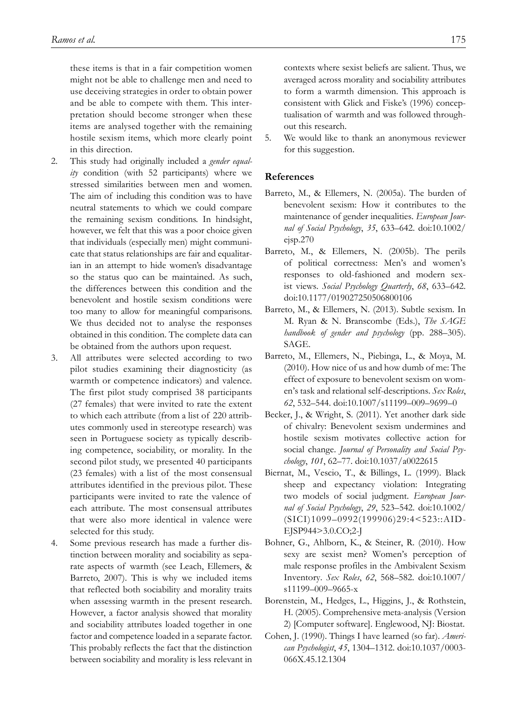these items is that in a fair competition women might not be able to challenge men and need to use deceiving strategies in order to obtain power and be able to compete with them. This interpretation should become stronger when these items are analysed together with the remaining hostile sexism items, which more clearly point in this direction.

- 2. This study had originally included a *gender equality* condition (with 52 participants) where we stressed similarities between men and women. The aim of including this condition was to have neutral statements to which we could compare the remaining sexism conditions. In hindsight, however, we felt that this was a poor choice given that individuals (especially men) might communicate that status relationships are fair and equalitarian in an attempt to hide women's disadvantage so the status quo can be maintained. As such, the differences between this condition and the benevolent and hostile sexism conditions were too many to allow for meaningful comparisons. We thus decided not to analyse the responses obtained in this condition. The complete data can be obtained from the authors upon request.
- 3. All attributes were selected according to two pilot studies examining their diagnosticity (as warmth or competence indicators) and valence. The first pilot study comprised 38 participants (27 females) that were invited to rate the extent to which each attribute (from a list of 220 attributes commonly used in stereotype research) was seen in Portuguese society as typically describing competence, sociability, or morality. In the second pilot study, we presented 40 participants (23 females) with a list of the most consensual attributes identified in the previous pilot. These participants were invited to rate the valence of each attribute. The most consensual attributes that were also more identical in valence were selected for this study.
- 4. Some previous research has made a further distinction between morality and sociability as separate aspects of warmth (see Leach, Ellemers, & Barreto, 2007). This is why we included items that reflected both sociability and morality traits when assessing warmth in the present research. However, a factor analysis showed that morality and sociability attributes loaded together in one factor and competence loaded in a separate factor. This probably reflects the fact that the distinction between sociability and morality is less relevant in

contexts where sexist beliefs are salient. Thus, we averaged across morality and sociability attributes to form a warmth dimension. This approach is consistent with Glick and Fiske's (1996) conceptualisation of warmth and was followed throughout this research.

5. We would like to thank an anonymous reviewer for this suggestion.

#### **References**

- Barreto, M., & Ellemers, N. (2005a). The burden of benevolent sexism: How it contributes to the maintenance of gender inequalities. *European Journal of Social Psychology*, *35*, 633–642. doi:10.1002/ ejsp.270
- Barreto, M., & Ellemers, N. (2005b). The perils of political correctness: Men's and women's responses to old-fashioned and modern sexist views. *Social Psychology Quarterly*, *68*, 633–642. doi:10.1177/019027250506800106
- Barreto, M., & Ellemers, N. (2013). Subtle sexism. In M. Ryan & N. Branscombe (Eds.), *The SAGE handbook of gender and psychology* (pp. 288–305). SAGE.
- Barreto, M., Ellemers, N., Piebinga, L., & Moya, M. (2010). How nice of us and how dumb of me: The effect of exposure to benevolent sexism on women's task and relational self-descriptions. *Sex Roles*, *62*, 532–544. doi:10.1007/s11199–009–9699–0
- Becker, J., & Wright, S. (2011). Yet another dark side of chivalry: Benevolent sexism undermines and hostile sexism motivates collective action for social change. *Journal of Personality and Social Psychology*, *101*, 62–77. doi:10.1037/a0022615
- Biernat, M., Vescio, T., & Billings, L. (1999). Black sheep and expectancy violation: Integrating two models of social judgment. *European Journal of Social Psychology*, *29*, 523–542. doi:10.1002/ (SICI)1099–0992(199906)29:4<523::AID-EJSP944>3.0.CO;2-J
- Bohner, G., Ahlborn, K., & Steiner, R. (2010). How sexy are sexist men? Women's perception of male response profiles in the Ambivalent Sexism Inventory. *Sex Roles*, *62*, 568–582. doi:10.1007/ s11199–009–9665-x
- Borenstein, M., Hedges, L., Higgins, J., & Rothstein, H. (2005). Comprehensive meta-analysis (Version 2) [Computer software]. Englewood, NJ: Biostat.
- Cohen, J. (1990). Things I have learned (so far). *American Psychologist*, *45*, 1304–1312. doi:10.1037/0003- 066X.45.12.1304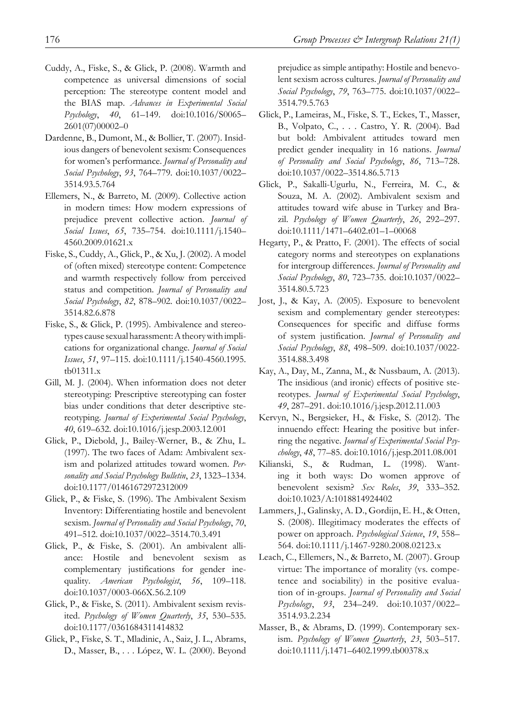- Cuddy, A., Fiske, S., & Glick, P. (2008). Warmth and competence as universal dimensions of social perception: The stereotype content model and the BIAS map. *Advances in Experimental Social Psychology*, *40*, 61–149. doi:10.1016/S0065– 2601(07)00002–0
- Dardenne, B., Dumont, M., & Bollier, T. (2007). Insidious dangers of benevolent sexism: Consequences for women's performance. *Journal of Personality and Social Psychology*, *93*, 764–779. doi:10.1037/0022– 3514.93.5.764
- Ellemers, N., & Barreto, M. (2009). Collective action in modern times: How modern expressions of prejudice prevent collective action. *Journal of Social Issues*, *65*, 735–754. doi:10.1111/j.1540– 4560.2009.01621.x
- Fiske, S., Cuddy, A., Glick, P., & Xu, J. (2002). A model of (often mixed) stereotype content: Competence and warmth respectively follow from perceived status and competition. *Journal of Personality and Social Psychology*, *82*, 878–902. doi:10.1037/0022– 3514.82.6.878
- Fiske, S., & Glick, P. (1995). Ambivalence and stereotypes cause sexual harassment: A theory with implications for organizational change. *Journal of Social Issues*, *51*, 97–115. doi:10.1111/j.1540-4560.1995. tb01311.x
- Gill, M. J. (2004). When information does not deter stereotyping: Prescriptive stereotyping can foster bias under conditions that deter descriptive stereotyping. *Journal of Experimental Social Psychology*, *40*, 619–632. doi:10.1016/j.jesp.2003.12.001
- Glick, P., Diebold, J., Bailey-Werner, B., & Zhu, L. (1997). The two faces of Adam: Ambivalent sexism and polarized attitudes toward women. *Personality and Social Psychology Bulletin*, *23*, 1323–1334. doi:10.1177/01461672972312009
- Glick, P., & Fiske, S. (1996). The Ambivalent Sexism Inventory: Differentiating hostile and benevolent sexism. *Journal of Personality and Social Psychology*, *70*, 491–512. doi:10.1037/0022–3514.70.3.491
- Glick, P., & Fiske, S. (2001). An ambivalent alliance: Hostile and benevolent sexism as complementary justifications for gender inequality. *American Psychologist*, *56*, 109–118. doi:10.1037/0003-066X.56.2.109
- Glick, P., & Fiske, S. (2011). Ambivalent sexism revisited. *Psychology of Women Quarterly*, *35*, 530–535. doi:10.1177/0361684311414832
- Glick, P., Fiske, S. T., Mladinic, A., Saiz, J. L., Abrams, D., Masser, B., . . . López, W. L. (2000). Beyond

prejudice as simple antipathy: Hostile and benevolent sexism across cultures. *Journal of Personality and Social Psychology*, *79*, 763–775. doi:10.1037/0022– 3514.79.5.763

- Glick, P., Lameiras, M., Fiske, S. T., Eckes, T., Masser, B., Volpato, C., . . . Castro, Y. R. (2004). Bad but bold: Ambivalent attitudes toward men predict gender inequality in 16 nations. *Journal of Personality and Social Psychology*, *86*, 713–728. doi:10.1037/0022–3514.86.5.713
- Glick, P., Sakalli-Ugurlu, N., Ferreira, M. C., & Souza, M. A. (2002). Ambivalent sexism and attitudes toward wife abuse in Turkey and Brazil. *Psychology of Women Quarterly*, *26*, 292–297. doi:10.1111/1471–6402.t01–1–00068
- Hegarty, P., & Pratto, F. (2001). The effects of social category norms and stereotypes on explanations for intergroup differences. *Journal of Personality and Social Psychology*, *80*, 723–735. doi:10.1037/0022– 3514.80.5.723
- Jost, J., & Kay, A. (2005). Exposure to benevolent sexism and complementary gender stereotypes: Consequences for specific and diffuse forms of system justification. *Journal of Personality and Social Psychology*, *88*, 498–509. doi:10.1037/0022- 3514.88.3.498
- Kay, A., Day, M., Zanna, M., & Nussbaum, A. (2013). The insidious (and ironic) effects of positive stereotypes. *Journal of Experimental Social Psychology*, *49*, 287–291. doi:10.1016/j.jesp.2012.11.003
- Kervyn, N., Bergsieker, H., & Fiske, S. (2012). The innuendo effect: Hearing the positive but inferring the negative. *Journal of Experimental Social Psychology*, *48*, 77–85. doi:10.1016/j.jesp.2011.08.001
- Kilianski, S., & Rudman, L. (1998). Wanting it both ways: Do women approve of benevolent sexism? *Sex Roles*, *39*, 333–352. doi:10.1023/A:1018814924402
- Lammers, J., Galinsky, A. D., Gordijn, E. H., & Otten, S. (2008). Illegitimacy moderates the effects of power on approach. *Psychological Science*, *19*, 558– 564. doi:10.1111/j.1467-9280.2008.02123.x
- Leach, C., Ellemers, N., & Barreto, M. (2007). Group virtue: The importance of morality (vs. competence and sociability) in the positive evaluation of in-groups. *Journal of Personality and Social Psychology*, *93*, 234–249. doi:10.1037/0022– 3514.93.2.234
- Masser, B., & Abrams, D. (1999). Contemporary sexism. *Psychology of Women Quarterly*, *23*, 503–517. doi:10.1111/j.1471–6402.1999.tb00378.x